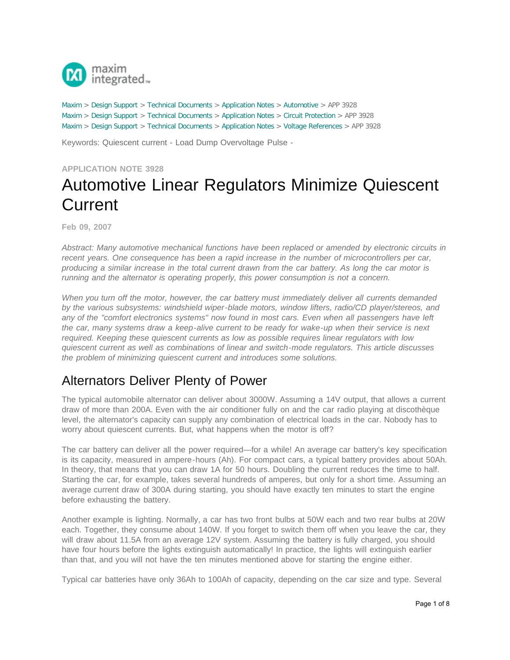

[Maxim](http://www.maximintegrated.com/) > [Design Support](http://www.maximintegrated.com/design/) > [Technical Documents](http://www.maximintegrated.com/design/techdocs/) > [Application Notes](http://www.maximintegrated.com/design/techdocs/app-notes/index.mvp) > [Automotive](http://www.maximintegrated.com/design/techdocs/app-notes/index.mvp/id/46/c/Automotive#c46) > APP 3928 [Maxim](http://www.maximintegrated.com/) > [Design Support](http://www.maximintegrated.com/design/) > [Technical Documents](http://www.maximintegrated.com/design/techdocs/) > [Application Notes](http://www.maximintegrated.com/design/techdocs/app-notes/index.mvp) > [Circuit Protection](http://www.maximintegrated.com/design/techdocs/app-notes/index.mvp/id/7/c/Circuit%20Protection#c7) > APP 3928 [Maxim](http://www.maximintegrated.com/) > [Design Support](http://www.maximintegrated.com/design/) > [Technical Documents](http://www.maximintegrated.com/design/techdocs/) > [Application Notes](http://www.maximintegrated.com/design/techdocs/app-notes/index.mvp) > [Voltage References](http://www.maximintegrated.com/design/techdocs/app-notes/index.mvp/id/34/c/Voltage%20References#c34) > APP 3928

Keywords: Quiescent current - Load Dump Overvoltage Pulse -

# **APPLICATION NOTE 3928** Automotive Linear Regulators Minimize Quiescent **Current**

**Feb 09, 2007**

*Abstract: Many automotive mechanical functions have been replaced or amended by electronic circuits in recent years. One consequence has been a rapid increase in the number of microcontrollers per car, producing a similar increase in the total current drawn from the car battery. As long the car motor is running and the alternator is operating properly, this power consumption is not a concern.*

*When you turn off the motor, however, the car battery must immediately deliver all currents demanded by the various subsystems: windshield wiper-blade motors, window lifters, radio/CD player/stereos, and any of the "comfort electronics systems" now found in most cars. Even when all passengers have left the car, many systems draw a keep-alive current to be ready for wake-up when their service is next required. Keeping these quiescent currents as low as possible requires linear regulators with low quiescent current as well as combinations of linear and switch-mode regulators. This article discusses the problem of minimizing quiescent current and introduces some solutions.*

#### Alternators Deliver Plenty of Power

The typical automobile alternator can deliver about 3000W. Assuming a 14V output, that allows a current draw of more than 200A. Even with the air conditioner fully on and the car radio playing at discothèque level, the alternator's capacity can supply any combination of electrical loads in the car. Nobody has to worry about quiescent currents. But, what happens when the motor is off?

The car battery can deliver all the power required—for a while! An average car battery's key specification is its capacity, measured in ampere-hours (Ah). For compact cars, a typical battery provides about 50Ah. In theory, that means that you can draw 1A for 50 hours. Doubling the current reduces the time to half. Starting the car, for example, takes several hundreds of amperes, but only for a short time. Assuming an average current draw of 300A during starting, you should have exactly ten minutes to start the engine before exhausting the battery.

Another example is lighting. Normally, a car has two front bulbs at 50W each and two rear bulbs at 20W each. Together, they consume about 140W. If you forget to switch them off when you leave the car, they will draw about 11.5A from an average 12V system. Assuming the battery is fully charged, you should have four hours before the lights extinguish automatically! In practice, the lights will extinguish earlier than that, and you will not have the ten minutes mentioned above for starting the engine either.

Typical car batteries have only 36Ah to 100Ah of capacity, depending on the car size and type. Several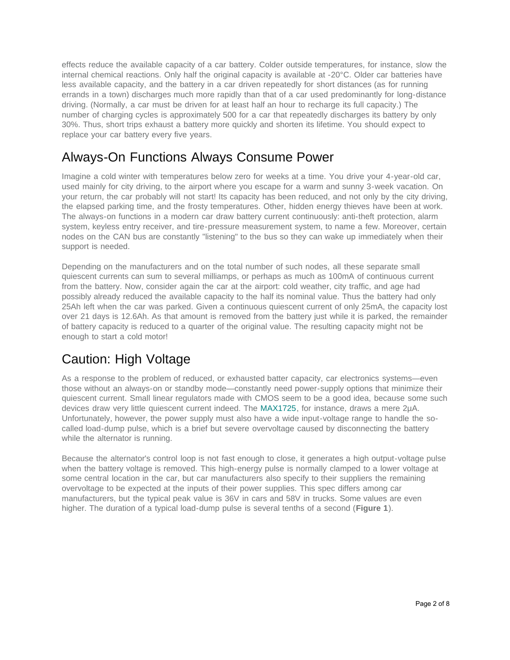effects reduce the available capacity of a car battery. Colder outside temperatures, for instance, slow the internal chemical reactions. Only half the original capacity is available at -20°C. Older car batteries have less available capacity, and the battery in a car driven repeatedly for short distances (as for running errands in a town) discharges much more rapidly than that of a car used predominantly for long-distance driving. (Normally, a car must be driven for at least half an hour to recharge its full capacity.) The number of charging cycles is approximately 500 for a car that repeatedly discharges its battery by only 30%. Thus, short trips exhaust a battery more quickly and shorten its lifetime. You should expect to replace your car battery every five years.

#### Always-On Functions Always Consume Power

Imagine a cold winter with temperatures below zero for weeks at a time. You drive your 4-year-old car, used mainly for city driving, to the airport where you escape for a warm and sunny 3-week vacation. On your return, the car probably will not start! Its capacity has been reduced, and not only by the city driving, the elapsed parking time, and the frosty temperatures. Other, hidden energy thieves have been at work. The always-on functions in a modern car draw battery current continuously: anti-theft protection, alarm system, keyless entry receiver, and tire-pressure measurement system, to name a few. Moreover, certain nodes on the CAN bus are constantly "listening" to the bus so they can wake up immediately when their support is needed.

Depending on the manufacturers and on the total number of such nodes, all these separate small quiescent currents can sum to several milliamps, or perhaps as much as 100mA of continuous current from the battery. Now, consider again the car at the airport: cold weather, city traffic, and age had possibly already reduced the available capacity to the half its nominal value. Thus the battery had only 25Ah left when the car was parked. Given a continuous quiescent current of only 25mA, the capacity lost over 21 days is 12.6Ah. As that amount is removed from the battery just while it is parked, the remainder of battery capacity is reduced to a quarter of the original value. The resulting capacity might not be enough to start a cold motor!

## Caution: High Voltage

As a response to the problem of reduced, or exhausted batter capacity, car electronics systems—even those without an always-on or standby mode—constantly need power-supply options that minimize their quiescent current. Small linear regulators made with CMOS seem to be a good idea, because some such devices draw very little quiescent current indeed. The [MAX1725,](http://www.maximintegrated.com/max1725) for instance, draws a mere 2µA. Unfortunately, however, the power supply must also have a wide input-voltage range to handle the socalled load-dump pulse, which is a brief but severe overvoltage caused by disconnecting the battery while the alternator is running.

Because the alternator's control loop is not fast enough to close, it generates a high output-voltage pulse when the battery voltage is removed. This high-energy pulse is normally clamped to a lower voltage at some central location in the car, but car manufacturers also specify to their suppliers the remaining overvoltage to be expected at the inputs of their power supplies. This spec differs among car manufacturers, but the typical peak value is 36V in cars and 58V in trucks. Some values are even higher. The duration of a typical load-dump pulse is several tenths of a second (**Figure 1**).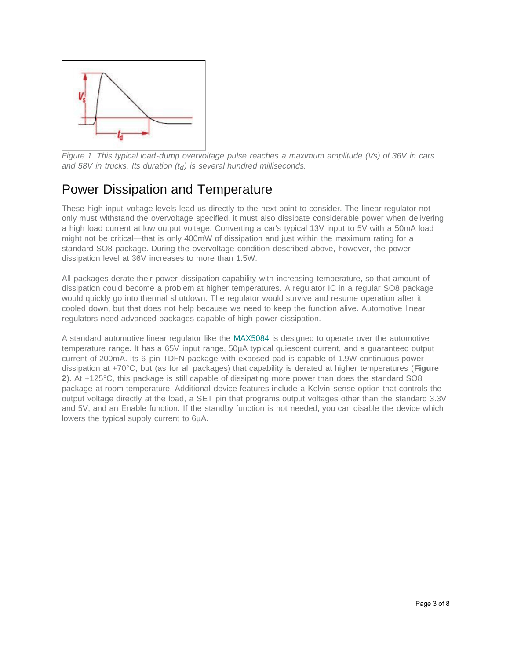

*Figure 1. This typical load-dump overvoltage pulse reaches a maximum amplitude (Vs) of 36V in cars* and 58V in trucks. Its duration (t<sub>d</sub>) is several hundred milliseconds.

### Power Dissipation and Temperature

These high input-voltage levels lead us directly to the next point to consider. The linear regulator not only must withstand the overvoltage specified, it must also dissipate considerable power when delivering a high load current at low output voltage. Converting a car's typical 13V input to 5V with a 50mA load might not be critical—that is only 400mW of dissipation and just within the maximum rating for a standard SO8 package. During the overvoltage condition described above, however, the powerdissipation level at 36V increases to more than 1.5W.

All packages derate their power-dissipation capability with increasing temperature, so that amount of dissipation could become a problem at higher temperatures. A regulator IC in a regular SO8 package would quickly go into thermal shutdown. The regulator would survive and resume operation after it cooled down, but that does not help because we need to keep the function alive. Automotive linear regulators need advanced packages capable of high power dissipation.

A standard automotive linear regulator like the [MAX5084](http://www.maximintegrated.com/max5084) is designed to operate over the automotive temperature range. It has a 65V input range, 50µA typical quiescent current, and a guaranteed output current of 200mA. Its 6-pin TDFN package with exposed pad is capable of 1.9W continuous power dissipation at +70°C, but (as for all packages) that capability is derated at higher temperatures (**Figure 2**). At +125°C, this package is still capable of dissipating more power than does the standard SO8 package at room temperature. Additional device features include a Kelvin-sense option that controls the output voltage directly at the load, a SET pin that programs output voltages other than the standard 3.3V and 5V, and an Enable function. If the standby function is not needed, you can disable the device which lowers the typical supply current to 6µA.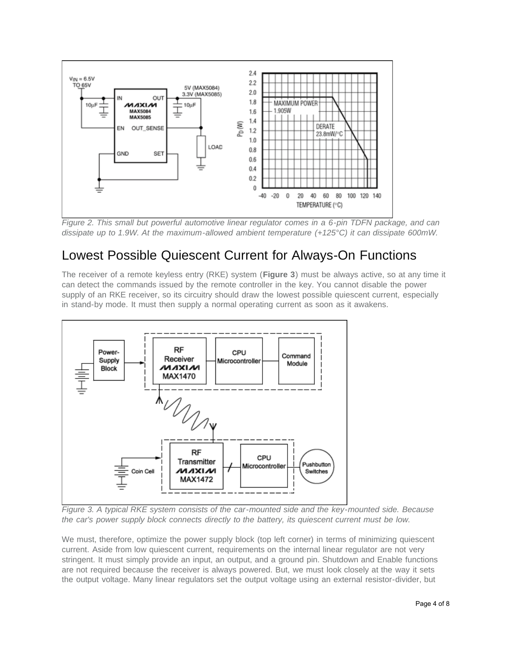

*Figure 2. This small but powerful automotive linear regulator comes in a 6-pin TDFN package, and can dissipate up to 1.9W. At the maximum-allowed ambient temperature (+125°C) it can dissipate 600mW.*

## Lowest Possible Quiescent Current for Always-On Functions

The receiver of a remote keyless entry (RKE) system (**Figure 3**) must be always active, so at any time it can detect the commands issued by the remote controller in the key. You cannot disable the power supply of an RKE receiver, so its circuitry should draw the lowest possible quiescent current, especially in stand-by mode. It must then supply a normal operating current as soon as it awakens.



*Figure 3. A typical RKE system consists of the car-mounted side and the key-mounted side. Because the car's power supply block connects directly to the battery, its quiescent current must be low.*

We must, therefore, optimize the power supply block (top left corner) in terms of minimizing quiescent current. Aside from low quiescent current, requirements on the internal linear regulator are not very stringent. It must simply provide an input, an output, and a ground pin. Shutdown and Enable functions are not required because the receiver is always powered. But, we must look closely at the way it sets the output voltage. Many linear regulators set the output voltage using an external resistor-divider, but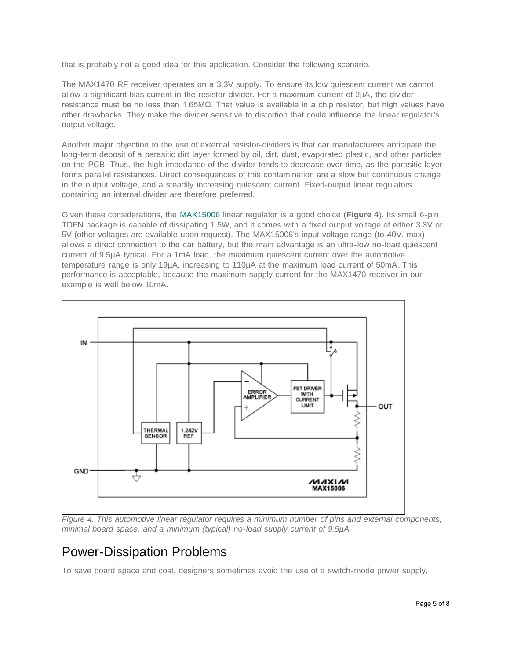that is probably not a good idea for this application. Consider the following scenario.

The MAX1470 RF receiver operates on a 3.3V supply. To ensure its low quiescent current we cannot allow a significant bias current in the resistor-divider. For a maximum current of 2µA, the divider resistance must be no less than 1.65MΩ. That value is available in a chip resistor, but high values have other drawbacks. They make the divider sensitive to distortion that could influence the linear regulator's output voltage.

Another major objection to the use of external resistor-dividers is that car manufacturers anticipate the long-term deposit of a parasitic dirt layer formed by oil, dirt, dust, evaporated plastic, and other particles on the PCB. Thus, the high impedance of the divider tends to decrease over time, as the parasitic layer forms parallel resistances. Direct consequences of this contamination are a slow but continuous change in the output voltage, and a steadily increasing quiescent current. Fixed-output linear regulators containing an internal divider are therefore preferred.

Given these considerations, the [MAX15006](http://www.maximintegrated.com/max15006) linear regulator is a good choice (**Figure 4**). Its small 6-pin TDFN package is capable of dissipating 1.5W, and it comes with a fixed output voltage of either 3.3V or 5V (other voltages are available upon request). The MAX15006's input voltage range (to 40V, max) allows a direct connection to the car battery, but the main advantage is an ultra-low no-load quiescent current of 9.5µA typical. For a 1mA load, the maximum quiescent current over the automotive temperature range is only 19µA, increasing to 110µA at the maximum load current of 50mA. This performance is acceptable, because the maximum supply current for the MAX1470 receiver in our example is well below 10mA.



*Figure 4. This automotive linear regulator requires a minimum number of pins and external components, minimal board space, and a minimum (typical) no-load supply current of 9.5µA.*

#### Power-Dissipation Problems

To save board space and cost, designers sometimes avoid the use of a switch-mode power supply,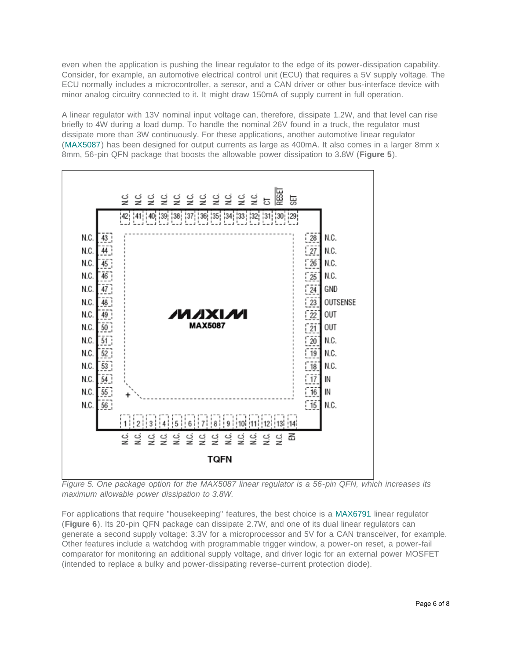even when the application is pushing the linear regulator to the edge of its power-dissipation capability. Consider, for example, an automotive electrical control unit (ECU) that requires a 5V supply voltage. The ECU normally includes a microcontroller, a sensor, and a CAN driver or other bus-interface device with minor analog circuitry connected to it. It might draw 150mA of supply current in full operation.

A linear regulator with 13V nominal input voltage can, therefore, dissipate 1.2W, and that level can rise briefly to 4W during a load dump. To handle the nominal 26V found in a truck, the regulator must dissipate more than 3W continuously. For these applications, another automotive linear regulator ([MAX5087\)](http://www.maximintegrated.com/max5087) has been designed for output currents as large as 400mA. It also comes in a larger 8mm x 8mm, 56-pin QFN package that boosts the allowable power dissipation to 3.8W (**Figure 5**).



*Figure 5. One package option for the MAX5087 linear regulator is a 56-pin QFN, which increases its maximum allowable power dissipation to 3.8W.*

For applications that require "housekeeping" features, the best choice is a [MAX6791](http://www.maximintegrated.com/max6791) linear regulator (**Figure 6**). Its 20-pin QFN package can dissipate 2.7W, and one of its dual linear regulators can generate a second supply voltage: 3.3V for a microprocessor and 5V for a CAN transceiver, for example. Other features include a watchdog with programmable trigger window, a power-on reset, a power-fail comparator for monitoring an additional supply voltage, and driver logic for an external power MOSFET (intended to replace a bulky and power-dissipating reverse-current protection diode).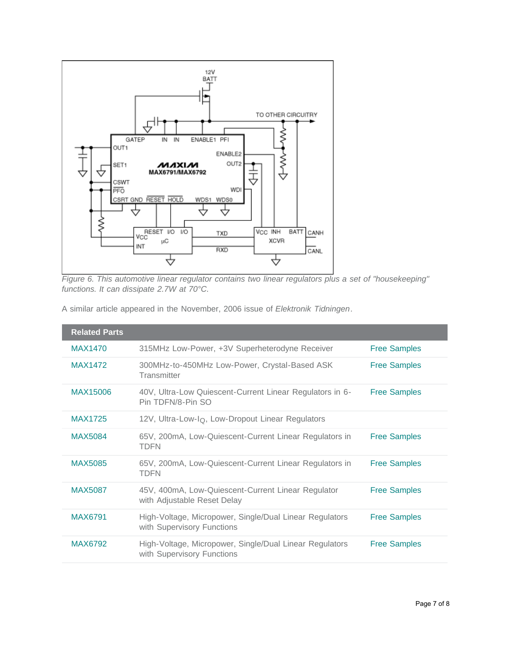

*Figure 6. This automotive linear regulator contains two linear regulators plus a set of "housekeeping" functions. It can dissipate 2.7W at 70°C.*

| <b>Related Parts</b> |                                                                                       |                     |
|----------------------|---------------------------------------------------------------------------------------|---------------------|
| <b>MAX1470</b>       | 315MHz Low-Power, +3V Superheterodyne Receiver                                        | <b>Free Samples</b> |
| <b>MAX1472</b>       | 300MHz-to-450MHz Low-Power, Crystal-Based ASK<br>Transmitter                          | <b>Free Samples</b> |
| MAX15006             | 40V, Ultra-Low Quiescent-Current Linear Regulators in 6-<br>Pin TDFN/8-Pin SO         | <b>Free Samples</b> |
| <b>MAX1725</b>       | 12V, Ultra-Low-I <sub>Q</sub> , Low-Dropout Linear Regulators                         |                     |
| <b>MAX5084</b>       | 65V, 200mA, Low-Quiescent-Current Linear Regulators in<br><b>TDFN</b>                 | <b>Free Samples</b> |
| <b>MAX5085</b>       | 65V, 200mA, Low-Quiescent-Current Linear Regulators in<br><b>TDFN</b>                 | <b>Free Samples</b> |
| <b>MAX5087</b>       | 45V, 400mA, Low-Quiescent-Current Linear Regulator<br>with Adjustable Reset Delay     | <b>Free Samples</b> |
| MAX6791              | High-Voltage, Micropower, Single/Dual Linear Regulators<br>with Supervisory Functions | <b>Free Samples</b> |
| MAX6792              | High-Voltage, Micropower, Single/Dual Linear Regulators<br>with Supervisory Functions | <b>Free Samples</b> |
|                      |                                                                                       |                     |

A similar article appeared in the November, 2006 issue of *Elektronik Tidningen*.